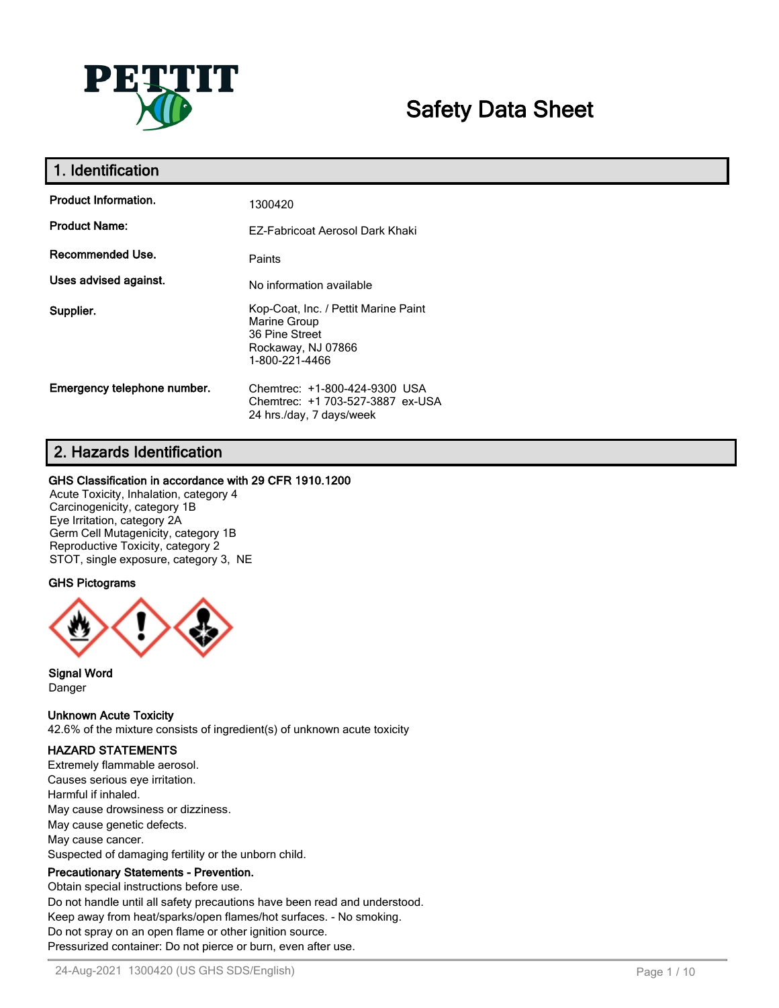

# **Safety Data Sheet**

| 1. Identification           |                                                                                                                |
|-----------------------------|----------------------------------------------------------------------------------------------------------------|
| <b>Product Information.</b> | 1300420                                                                                                        |
| <b>Product Name:</b>        | EZ-Fabricoat Aerosol Dark Khaki                                                                                |
| Recommended Use.            | Paints                                                                                                         |
| Uses advised against.       | No information available                                                                                       |
| Supplier.                   | Kop-Coat, Inc. / Pettit Marine Paint<br>Marine Group<br>36 Pine Street<br>Rockaway, NJ 07866<br>1-800-221-4466 |
| Emergency telephone number. | Chemtrec: +1-800-424-9300 USA<br>Chemtrec: +1 703-527-3887 ex-USA<br>24 hrs./day, 7 days/week                  |

# **2. Hazards Identification**

#### **GHS Classification in accordance with 29 CFR 1910.1200**

Acute Toxicity, Inhalation, category 4 Carcinogenicity, category 1B Eye Irritation, category 2A Germ Cell Mutagenicity, category 1B Reproductive Toxicity, category 2 STOT, single exposure, category 3, NE

#### **GHS Pictograms**



**Signal Word** Danger

**Unknown Acute Toxicity**

42.6% of the mixture consists of ingredient(s) of unknown acute toxicity

## **HAZARD STATEMENTS**

Extremely flammable aerosol. Causes serious eye irritation. Harmful if inhaled. May cause drowsiness or dizziness. May cause genetic defects. May cause cancer. Suspected of damaging fertility or the unborn child.

## **Precautionary Statements - Prevention.**

Obtain special instructions before use. Do not handle until all safety precautions have been read and understood. Keep away from heat/sparks/open flames/hot surfaces. - No smoking. Do not spray on an open flame or other ignition source. Pressurized container: Do not pierce or burn, even after use.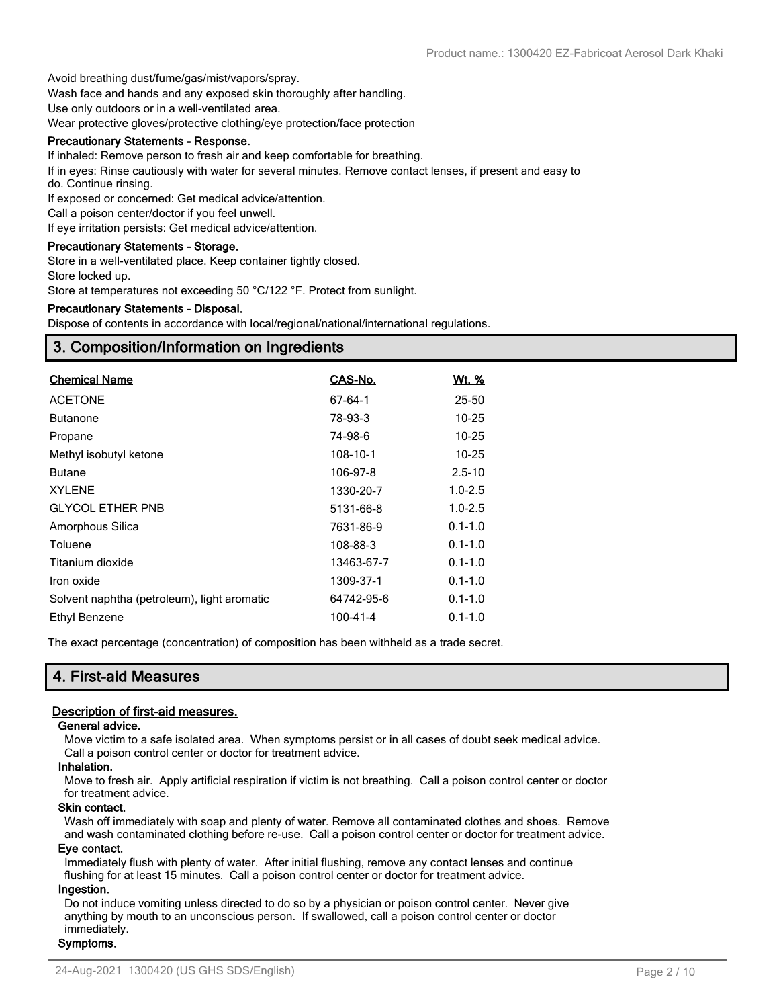Avoid breathing dust/fume/gas/mist/vapors/spray.

Wash face and hands and any exposed skin thoroughly after handling.

Use only outdoors or in a well-ventilated area.

Wear protective gloves/protective clothing/eye protection/face protection

#### **Precautionary Statements - Response.**

If inhaled: Remove person to fresh air and keep comfortable for breathing.

If in eyes: Rinse cautiously with water for several minutes. Remove contact lenses, if present and easy to do. Continue rinsing.

If exposed or concerned: Get medical advice/attention.

Call a poison center/doctor if you feel unwell.

If eye irritation persists: Get medical advice/attention.

#### **Precautionary Statements - Storage.**

Store in a well-ventilated place. Keep container tightly closed.

Store locked up.

Store at temperatures not exceeding 50 °C/122 °F. Protect from sunlight.

#### **Precautionary Statements - Disposal.**

Dispose of contents in accordance with local/regional/national/international regulations.

## **3. Composition/Information on Ingredients**

| <b>Chemical Name</b>                        | CAS-No.    | <u>Wt. %</u> |
|---------------------------------------------|------------|--------------|
| <b>ACETONE</b>                              | 67-64-1    | 25-50        |
| <b>Butanone</b>                             | 78-93-3    | $10 - 25$    |
| Propane                                     | 74-98-6    | $10 - 25$    |
| Methyl isobutyl ketone                      | 108-10-1   | 10-25        |
| <b>Butane</b>                               | 106-97-8   | $2.5 - 10$   |
| <b>XYLENE</b>                               | 1330-20-7  | $1.0 - 2.5$  |
| <b>GLYCOL ETHER PNB</b>                     | 5131-66-8  | $1.0 - 2.5$  |
| Amorphous Silica                            | 7631-86-9  | $0.1 - 1.0$  |
| Toluene                                     | 108-88-3   | $0.1 - 1.0$  |
| Titanium dioxide                            | 13463-67-7 | $0.1 - 1.0$  |
| Iron oxide                                  | 1309-37-1  | $0.1 - 1.0$  |
| Solvent naphtha (petroleum), light aromatic | 64742-95-6 | $0.1 - 1.0$  |
| Ethyl Benzene                               | 100-41-4   | $0.1 - 1.0$  |

The exact percentage (concentration) of composition has been withheld as a trade secret.

## **4. First-aid Measures**

#### **Description of first-aid measures.**

#### **General advice.**

Move victim to a safe isolated area. When symptoms persist or in all cases of doubt seek medical advice. Call a poison control center or doctor for treatment advice.

#### **Inhalation.**

Move to fresh air. Apply artificial respiration if victim is not breathing. Call a poison control center or doctor for treatment advice.

#### **Skin contact.**

Wash off immediately with soap and plenty of water. Remove all contaminated clothes and shoes. Remove and wash contaminated clothing before re-use. Call a poison control center or doctor for treatment advice.

#### **Eye contact.**

Immediately flush with plenty of water. After initial flushing, remove any contact lenses and continue flushing for at least 15 minutes. Call a poison control center or doctor for treatment advice.

#### **Ingestion.**

Do not induce vomiting unless directed to do so by a physician or poison control center. Never give anything by mouth to an unconscious person. If swallowed, call a poison control center or doctor immediately.

#### **Symptoms.**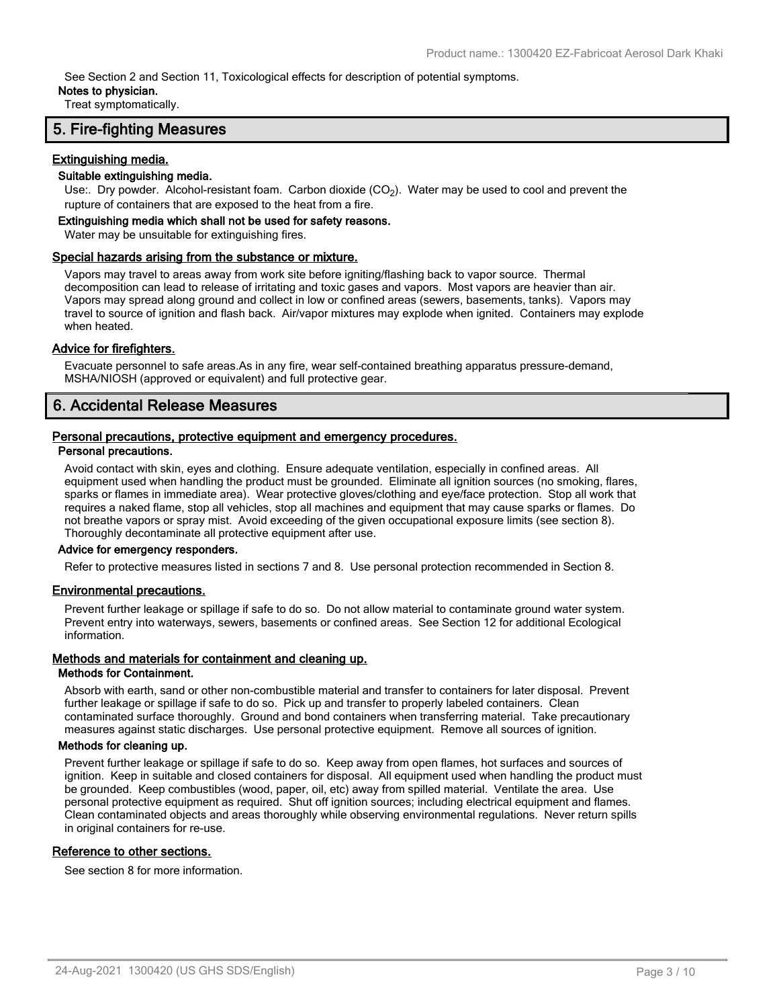See Section 2 and Section 11, Toxicological effects for description of potential symptoms.

#### **Notes to physician.**

Treat symptomatically.

## **5. Fire-fighting Measures**

#### **Extinguishing media.**

#### **Suitable extinguishing media.**

Use:. Dry powder. Alcohol-resistant foam. Carbon dioxide (CO<sub>2</sub>). Water may be used to cool and prevent the rupture of containers that are exposed to the heat from a fire.

#### **Extinguishing media which shall not be used for safety reasons.**

Water may be unsuitable for extinguishing fires.

#### **Special hazards arising from the substance or mixture.**

Vapors may travel to areas away from work site before igniting/flashing back to vapor source. Thermal decomposition can lead to release of irritating and toxic gases and vapors. Most vapors are heavier than air. Vapors may spread along ground and collect in low or confined areas (sewers, basements, tanks). Vapors may travel to source of ignition and flash back. Air/vapor mixtures may explode when ignited. Containers may explode when heated.

#### **Advice for firefighters.**

Evacuate personnel to safe areas.As in any fire, wear self-contained breathing apparatus pressure-demand, MSHA/NIOSH (approved or equivalent) and full protective gear.

# **6. Accidental Release Measures**

#### **Personal precautions, protective equipment and emergency procedures.**

#### **Personal precautions.**

Avoid contact with skin, eyes and clothing. Ensure adequate ventilation, especially in confined areas. All equipment used when handling the product must be grounded. Eliminate all ignition sources (no smoking, flares, sparks or flames in immediate area). Wear protective gloves/clothing and eye/face protection. Stop all work that requires a naked flame, stop all vehicles, stop all machines and equipment that may cause sparks or flames. Do not breathe vapors or spray mist. Avoid exceeding of the given occupational exposure limits (see section 8). Thoroughly decontaminate all protective equipment after use.

#### **Advice for emergency responders.**

Refer to protective measures listed in sections 7 and 8. Use personal protection recommended in Section 8.

#### **Environmental precautions.**

Prevent further leakage or spillage if safe to do so. Do not allow material to contaminate ground water system. Prevent entry into waterways, sewers, basements or confined areas. See Section 12 for additional Ecological information.

#### **Methods and materials for containment and cleaning up.**

#### **Methods for Containment.**

Absorb with earth, sand or other non-combustible material and transfer to containers for later disposal. Prevent further leakage or spillage if safe to do so. Pick up and transfer to properly labeled containers. Clean contaminated surface thoroughly. Ground and bond containers when transferring material. Take precautionary measures against static discharges. Use personal protective equipment. Remove all sources of ignition.

#### **Methods for cleaning up.**

Prevent further leakage or spillage if safe to do so. Keep away from open flames, hot surfaces and sources of ignition. Keep in suitable and closed containers for disposal. All equipment used when handling the product must be grounded. Keep combustibles (wood, paper, oil, etc) away from spilled material. Ventilate the area. Use personal protective equipment as required. Shut off ignition sources; including electrical equipment and flames. Clean contaminated objects and areas thoroughly while observing environmental regulations. Never return spills in original containers for re-use.

#### **Reference to other sections.**

See section 8 for more information.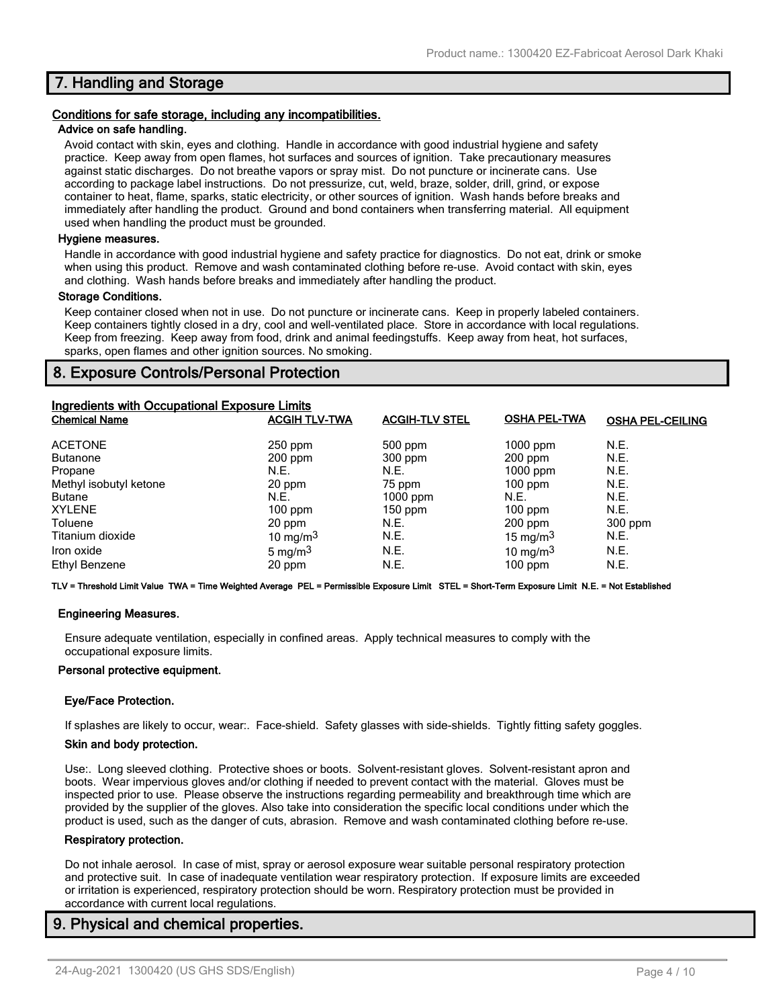## **7. Handling and Storage**

#### **Conditions for safe storage, including any incompatibilities.**

#### **Advice on safe handling.**

Avoid contact with skin, eyes and clothing. Handle in accordance with good industrial hygiene and safety practice. Keep away from open flames, hot surfaces and sources of ignition. Take precautionary measures against static discharges. Do not breathe vapors or spray mist. Do not puncture or incinerate cans. Use according to package label instructions. Do not pressurize, cut, weld, braze, solder, drill, grind, or expose container to heat, flame, sparks, static electricity, or other sources of ignition. Wash hands before breaks and immediately after handling the product. Ground and bond containers when transferring material. All equipment used when handling the product must be grounded.

#### **Hygiene measures.**

Handle in accordance with good industrial hygiene and safety practice for diagnostics. Do not eat, drink or smoke when using this product. Remove and wash contaminated clothing before re-use. Avoid contact with skin, eyes and clothing. Wash hands before breaks and immediately after handling the product.

#### **Storage Conditions.**

Keep container closed when not in use. Do not puncture or incinerate cans. Keep in properly labeled containers. Keep containers tightly closed in a dry, cool and well-ventilated place. Store in accordance with local regulations. Keep from freezing. Keep away from food, drink and animal feedingstuffs. Keep away from heat, hot surfaces, sparks, open flames and other ignition sources. No smoking.

## **8. Exposure Controls/Personal Protection**

| Ingredients with Occupational Exposure Limits |                      |                       |                     |                         |
|-----------------------------------------------|----------------------|-----------------------|---------------------|-------------------------|
| <b>Chemical Name</b>                          | <b>ACGIH TLV-TWA</b> | <b>ACGIH-TLV STEL</b> | <b>OSHA PEL-TWA</b> | <b>OSHA PEL-CEILING</b> |
| <b>ACETONE</b>                                | $250$ ppm            | 500 ppm               | $1000$ ppm          | N.E.                    |
| <b>Butanone</b>                               | 200 ppm              | 300 ppm               | $200$ ppm           | N.E.                    |
| Propane                                       | N.E.                 | N.E.                  | $1000$ ppm          | N.E.                    |
| Methyl isobutyl ketone                        | 20 ppm               | 75 ppm                | $100$ ppm           | N.E.                    |
| <b>Butane</b>                                 | N.E.                 | $1000$ ppm            | N.E.                | N.E.                    |
| <b>XYLENE</b>                                 | $100$ ppm            | $150$ ppm             | $100$ ppm           | N.E.                    |
| Toluene                                       | 20 ppm               | N.E.                  | $200$ ppm           | 300 ppm                 |
| Titanium dioxide                              | 10 mg/m $3$          | N.E.                  | 15 mg/m $3$         | N.E.                    |
| Iron oxide                                    | 5 mg/m $3$           | N.E.                  | 10 mg/m $3$         | N.E.                    |
| Ethyl Benzene                                 | 20 ppm               | N.E.                  | $100$ ppm           | N.E.                    |

**TLV = Threshold Limit Value TWA = Time Weighted Average PEL = Permissible Exposure Limit STEL = Short-Term Exposure Limit N.E. = Not Established**

#### **Engineering Measures.**

Ensure adequate ventilation, especially in confined areas. Apply technical measures to comply with the occupational exposure limits.

#### **Personal protective equipment.**

#### **Eye/Face Protection.**

If splashes are likely to occur, wear:. Face-shield. Safety glasses with side-shields. Tightly fitting safety goggles.

#### **Skin and body protection.**

Use:. Long sleeved clothing. Protective shoes or boots. Solvent-resistant gloves. Solvent-resistant apron and boots. Wear impervious gloves and/or clothing if needed to prevent contact with the material. Gloves must be inspected prior to use. Please observe the instructions regarding permeability and breakthrough time which are provided by the supplier of the gloves. Also take into consideration the specific local conditions under which the product is used, such as the danger of cuts, abrasion. Remove and wash contaminated clothing before re-use.

#### **Respiratory protection.**

Do not inhale aerosol. In case of mist, spray or aerosol exposure wear suitable personal respiratory protection and protective suit. In case of inadequate ventilation wear respiratory protection. If exposure limits are exceeded or irritation is experienced, respiratory protection should be worn. Respiratory protection must be provided in accordance with current local regulations.

## **9. Physical and chemical properties.**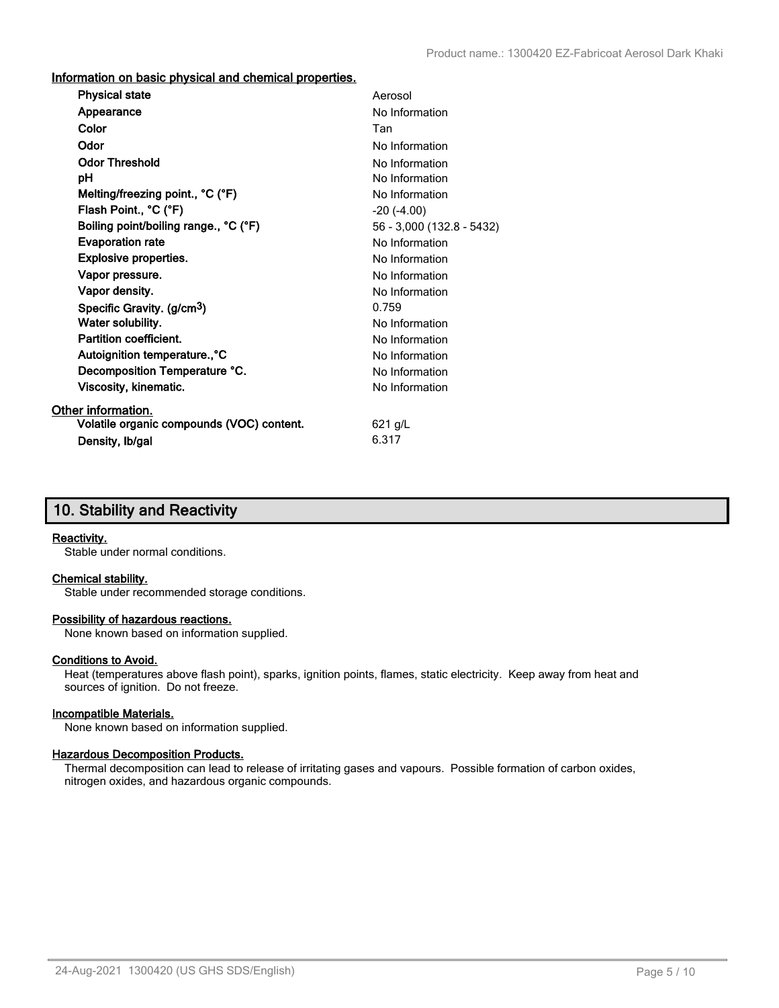**Information on basic physical and chemical properties.**

| <b>Physical state</b>                     | Aerosol                   |
|-------------------------------------------|---------------------------|
| Appearance                                | No Information            |
| Color                                     | Tan                       |
| Odor                                      | No Information            |
| <b>Odor Threshold</b>                     | No Information            |
| рH                                        | No Information            |
| Melting/freezing point., °C (°F)          | No Information            |
| Flash Point., °C (°F)                     | $-20$ $(-4.00)$           |
| Boiling point/boiling range., °C (°F)     | 56 - 3,000 (132.8 - 5432) |
| <b>Evaporation rate</b>                   | No Information            |
| <b>Explosive properties.</b>              | No Information            |
| Vapor pressure.                           | No Information            |
| Vapor density.                            | No Information            |
| Specific Gravity. (g/cm <sup>3</sup> )    | 0.759                     |
| Water solubility.                         | No Information            |
| <b>Partition coefficient.</b>             | No Information            |
| Autoignition temperature., °C             | No Information            |
| Decomposition Temperature °C.             | No Information            |
| Viscosity, kinematic.                     | No Information            |
| Other information.                        |                           |
| Volatile organic compounds (VOC) content. | $621$ g/L                 |
| Density, Ib/gal                           | 6.317                     |

# **10. Stability and Reactivity**

#### **Reactivity.**

Stable under normal conditions.

#### **Chemical stability.**

Stable under recommended storage conditions.

#### **Possibility of hazardous reactions.**

None known based on information supplied.

#### **Conditions to Avoid.**

Heat (temperatures above flash point), sparks, ignition points, flames, static electricity. Keep away from heat and sources of ignition. Do not freeze.

#### **Incompatible Materials.**

None known based on information supplied.

#### **Hazardous Decomposition Products.**

Thermal decomposition can lead to release of irritating gases and vapours. Possible formation of carbon oxides, nitrogen oxides, and hazardous organic compounds.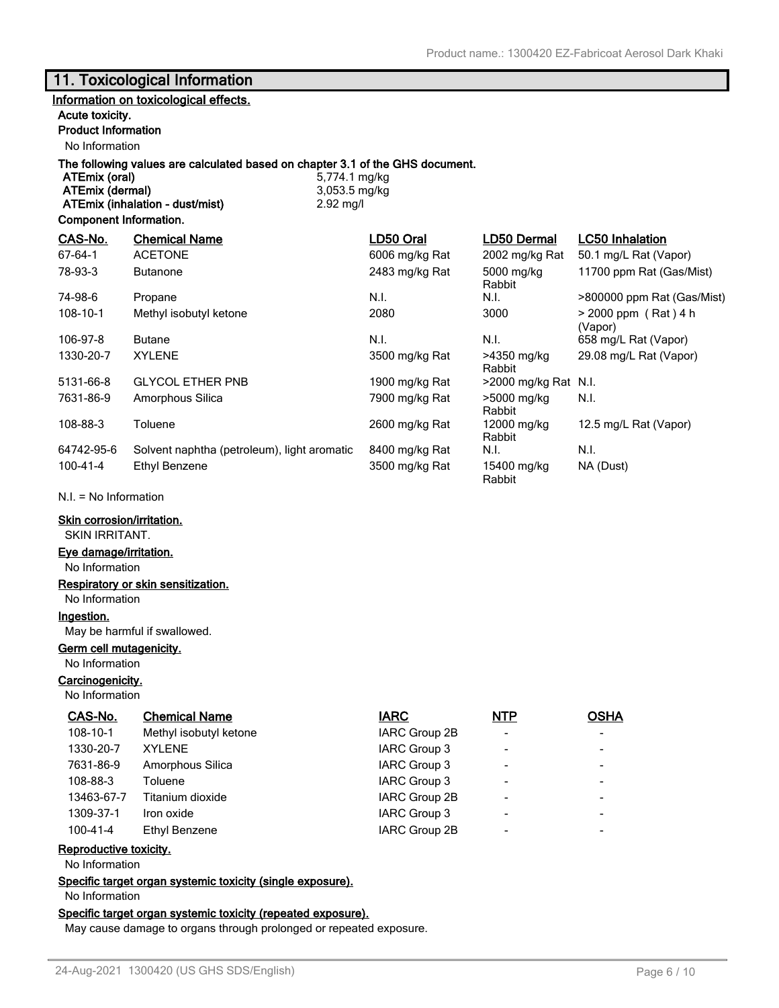# **11. Toxicological Information**

## **Information on toxicological effects.**

#### **Acute toxicity.**

## **Product Information**

No Information

# **The following values are calculated based on chapter 3.1 of the GHS document.**

**ATEmix (dermal)** 3,053.5 mg/kg **ATEmix (inhalation - dust/mist)** 2.92 mg/l

**ATEmix (oral)** 5,774.1 mg/kg

#### **Component Information.**

| CAS-No.       | <b>Chemical Name</b>                        | LD50 Oral      | LD50 Dermal           | <b>LC50 Inhalation</b>            |
|---------------|---------------------------------------------|----------------|-----------------------|-----------------------------------|
| $67 - 64 - 1$ | <b>ACETONE</b>                              | 6006 mg/kg Rat | 2002 mg/kg Rat        | 50.1 mg/L Rat (Vapor)             |
| 78-93-3       | <b>Butanone</b>                             | 2483 mg/kg Rat | 5000 mg/kg<br>Rabbit  | 11700 ppm Rat (Gas/Mist)          |
| 74-98-6       | Propane                                     | N.I.           | N.I.                  | >800000 ppm Rat (Gas/Mist)        |
| 108-10-1      | Methyl isobutyl ketone                      | 2080           | 3000                  | $> 2000$ ppm (Rat) 4 h<br>(Vapor) |
| 106-97-8      | <b>Butane</b>                               | N.I.           | N.I.                  | 658 mg/L Rat (Vapor)              |
| 1330-20-7     | <b>XYLENE</b>                               | 3500 mg/kg Rat | >4350 mg/kg<br>Rabbit | 29.08 mg/L Rat (Vapor)            |
| 5131-66-8     | <b>GLYCOL ETHER PNB</b>                     | 1900 mg/kg Rat | >2000 mg/kg Rat N.I.  |                                   |
| 7631-86-9     | Amorphous Silica                            | 7900 mg/kg Rat | >5000 mg/kg<br>Rabbit | N.I.                              |
| 108-88-3      | Toluene                                     | 2600 mg/kg Rat | 12000 mg/kg<br>Rabbit | 12.5 mg/L Rat (Vapor)             |
| 64742-95-6    | Solvent naphtha (petroleum), light aromatic | 8400 mg/kg Rat | N.I.                  | N.I.                              |
| 100-41-4      | Ethyl Benzene                               | 3500 mg/kg Rat | 15400 mg/kg<br>Rabbit | NA (Dust)                         |

N.I. = No Information

#### **Skin corrosion/irritation.**

SKIN IRRITANT.

### **Eye damage/irritation.**

No Information

#### **Respiratory or skin sensitization.**

No Information

## **Ingestion.**

May be harmful if swallowed.

## **Germ cell mutagenicity.**

No Information

## **Carcinogenicity.**

No Information

| CAS-No.        | <b>Chemical Name</b>   | <b>IARC</b>   | <b>NTP</b>               | <b>OSHA</b> |
|----------------|------------------------|---------------|--------------------------|-------------|
| 108-10-1       | Methyl isobutyl ketone | IARC Group 2B | $\overline{\phantom{a}}$ |             |
| 1330-20-7      | <b>XYLENE</b>          | IARC Group 3  | $\overline{\phantom{a}}$ |             |
| 7631-86-9      | Amorphous Silica       | IARC Group 3  | $\blacksquare$           |             |
| 108-88-3       | Toluene                | IARC Group 3  | $\overline{\phantom{a}}$ |             |
| 13463-67-7     | Titanium dioxide       | IARC Group 2B | $\overline{\phantom{a}}$ |             |
| 1309-37-1      | Iron oxide             | IARC Group 3  | $\overline{\phantom{a}}$ |             |
| $100 - 41 - 4$ | Ethyl Benzene          | IARC Group 2B | $\overline{\phantom{a}}$ |             |
|                |                        |               |                          |             |

### **Reproductive toxicity.**

No Information

**Specific target organ systemic toxicity (single exposure).**

No Information

#### **Specific target organ systemic toxicity (repeated exposure).**

May cause damage to organs through prolonged or repeated exposure.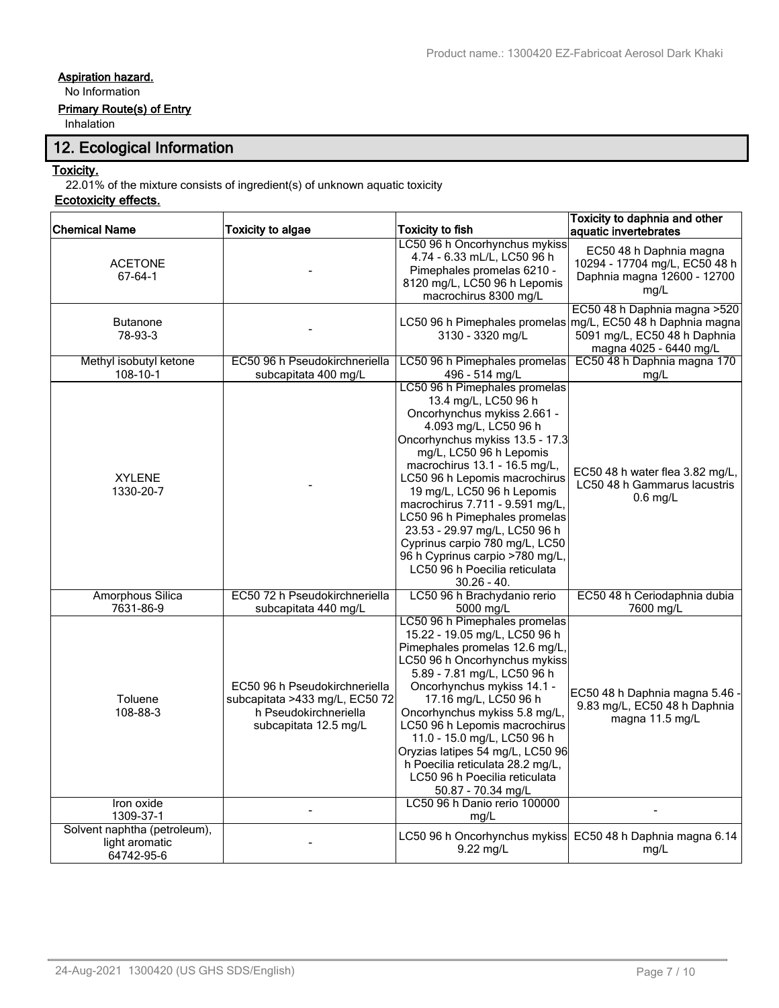# **Aspiration hazard.**

No Information

## **Primary Route(s) of Entry**

Inhalation

# **12. Ecological Information**

## **Toxicity.**

22.01% of the mixture consists of ingredient(s) of unknown aquatic toxicity

## **Ecotoxicity effects.**

| <b>Chemical Name</b>                                         | <b>Toxicity to algae</b>                                                                                          | <b>Toxicity to fish</b>                                                                                                                                                                                                                                                                                                                                                                                                                                                                                 | Toxicity to daphnia and other<br>aquatic invertebrates                                                                   |
|--------------------------------------------------------------|-------------------------------------------------------------------------------------------------------------------|---------------------------------------------------------------------------------------------------------------------------------------------------------------------------------------------------------------------------------------------------------------------------------------------------------------------------------------------------------------------------------------------------------------------------------------------------------------------------------------------------------|--------------------------------------------------------------------------------------------------------------------------|
| <b>ACETONE</b><br>67-64-1                                    |                                                                                                                   | LC50 96 h Oncorhynchus mykiss<br>4.74 - 6.33 mL/L, LC50 96 h<br>Pimephales promelas 6210 -<br>8120 mg/L, LC50 96 h Lepomis<br>macrochirus 8300 mg/L                                                                                                                                                                                                                                                                                                                                                     | EC50 48 h Daphnia magna<br>10294 - 17704 mg/L, EC50 48 h<br>Daphnia magna 12600 - 12700<br>mg/L                          |
| <b>Butanone</b><br>78-93-3                                   |                                                                                                                   | LC50 96 h Pimephales promelas<br>3130 - 3320 mg/L                                                                                                                                                                                                                                                                                                                                                                                                                                                       | EC50 48 h Daphnia magna > 520<br>mg/L, EC50 48 h Daphnia magna<br>5091 mg/L, EC50 48 h Daphnia<br>magna 4025 - 6440 mg/L |
| Methyl isobutyl ketone<br>108-10-1                           | EC50 96 h Pseudokirchneriella<br>subcapitata 400 mg/L                                                             | LC50 96 h Pimephales promelas<br>496 - 514 mg/L                                                                                                                                                                                                                                                                                                                                                                                                                                                         | EC50 48 h Daphnia magna 170<br>ma/L                                                                                      |
| <b>XYLENE</b><br>1330-20-7                                   |                                                                                                                   | LC50 96 h Pimephales promelas<br>13.4 mg/L, LC50 96 h<br>Oncorhynchus mykiss 2.661 -<br>4.093 mg/L, LC50 96 h<br>Oncorhynchus mykiss 13.5 - 17.3<br>mg/L, LC50 96 h Lepomis<br>macrochirus 13.1 - 16.5 mg/L,<br>LC50 96 h Lepomis macrochirus<br>19 mg/L, LC50 96 h Lepomis<br>macrochirus 7.711 - 9.591 mg/L,<br>LC50 96 h Pimephales promelas<br>23.53 - 29.97 mg/L, LC50 96 h<br>Cyprinus carpio 780 mg/L, LC50<br>96 h Cyprinus carpio >780 mg/L,<br>LC50 96 h Poecilia reticulata<br>$30.26 - 40.$ | EC50 48 h water flea 3.82 mg/L,<br>LC50 48 h Gammarus lacustris<br>$0.6$ mg/L                                            |
| <b>Amorphous Silica</b><br>7631-86-9                         | EC50 72 h Pseudokirchneriella<br>subcapitata 440 mg/L                                                             | LC50 96 h Brachydanio rerio<br>5000 mg/L                                                                                                                                                                                                                                                                                                                                                                                                                                                                | EC50 48 h Ceriodaphnia dubia<br>7600 mg/L                                                                                |
| Toluene<br>108-88-3                                          | EC50 96 h Pseudokirchneriella<br>subcapitata >433 mg/L, EC50 72<br>h Pseudokirchneriella<br>subcapitata 12.5 mg/L | LC50 96 h Pimephales promelas<br>15.22 - 19.05 mg/L, LC50 96 h<br>Pimephales promelas 12.6 mg/L,<br>LC50 96 h Oncorhynchus mykiss<br>5.89 - 7.81 mg/L, LC50 96 h<br>Oncorhynchus mykiss 14.1 -<br>17.16 mg/L, LC50 96 h<br>Oncorhynchus mykiss 5.8 mg/L,<br>LC50 96 h Lepomis macrochirus<br>11.0 - 15.0 mg/L, LC50 96 h<br>Oryzias latipes 54 mg/L, LC50 96<br>h Poecilia reticulata 28.2 mg/L,<br>LC50 96 h Poecilia reticulata<br>50.87 - 70.34 mg/L                                                 | EC50 48 h Daphnia magna 5.46 -<br>9.83 mg/L, EC50 48 h Daphnia<br>magna 11.5 mg/L                                        |
| Iron oxide<br>1309-37-1                                      |                                                                                                                   | LC50 96 h Danio rerio 100000<br>mg/L                                                                                                                                                                                                                                                                                                                                                                                                                                                                    |                                                                                                                          |
| Solvent naphtha (petroleum),<br>light aromatic<br>64742-95-6 |                                                                                                                   | LC50 96 h Oncorhynchus mykiss<br>9.22 mg/L                                                                                                                                                                                                                                                                                                                                                                                                                                                              | EC50 48 h Daphnia magna 6.14<br>mg/L                                                                                     |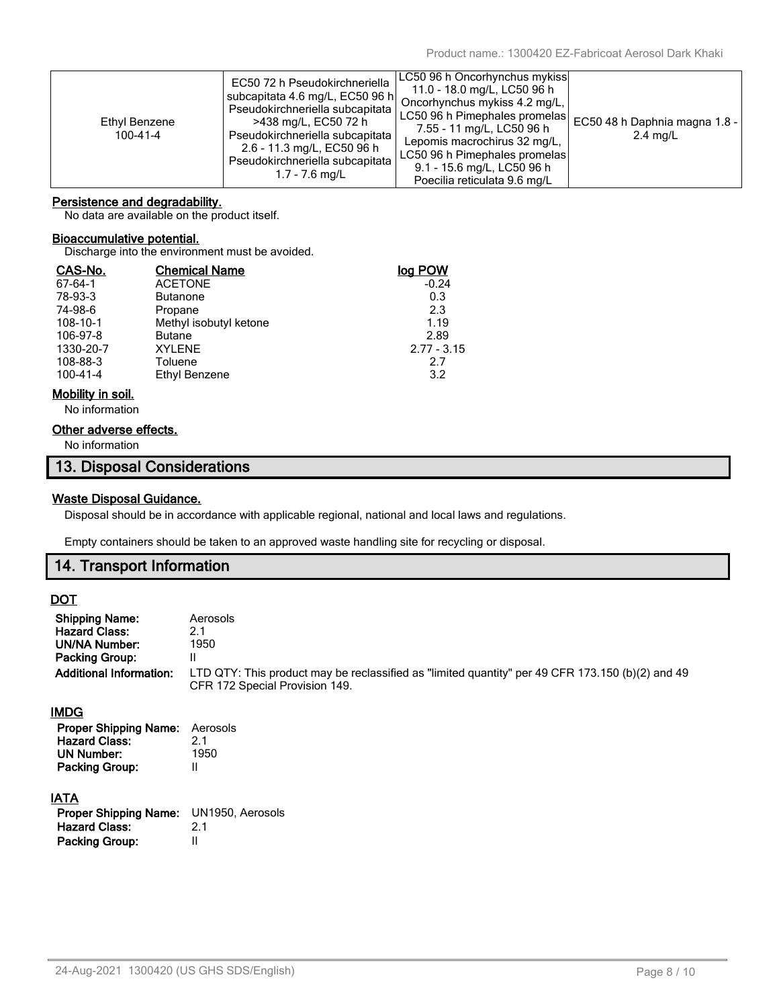| Ethyl Benzene<br>$100 - 41 - 4$ | EC50 72 h Pseudokirchneriella<br>subcapitata 4.6 mg/L, EC50 96 h <br>Pseudokirchneriella subcapitata<br>>438 mg/L, EC50 72 h<br>Pseudokirchneriella subcapitata<br>2.6 - 11.3 mg/L, EC50 96 h<br>Pseudokirchneriella subcapitata<br>$1.7 - 7.6$ mg/L | ∣LC50 96 h Oncorhynchus mykiss∣<br>11.0 - 18.0 mg/L, LC50 96 h<br>Oncorhynchus mykiss 4.2 mg/L,<br>LC50 96 h Pimephales promelas<br>7.55 - 11 mg/L, LC50 96 h<br>Lepomis macrochirus 32 mg/L,<br>LC50 96 h Pimephales promelas<br>9.1 - 15.6 mg/L, LC50 96 h<br>Poecilia reticulata 9.6 mg/L | EC50 48 h Daphnia magna 1.8 -<br>$2.4 \text{ mq/L}$ |
|---------------------------------|------------------------------------------------------------------------------------------------------------------------------------------------------------------------------------------------------------------------------------------------------|----------------------------------------------------------------------------------------------------------------------------------------------------------------------------------------------------------------------------------------------------------------------------------------------|-----------------------------------------------------|
|---------------------------------|------------------------------------------------------------------------------------------------------------------------------------------------------------------------------------------------------------------------------------------------------|----------------------------------------------------------------------------------------------------------------------------------------------------------------------------------------------------------------------------------------------------------------------------------------------|-----------------------------------------------------|

## **Persistence and degradability.**

No data are available on the product itself.

## **Bioaccumulative potential.**

Discharge into the environment must be avoided.

| CAS-No.        | <b>Chemical Name</b>   | loa POW       |
|----------------|------------------------|---------------|
| 67-64-1        | <b>ACETONE</b>         | $-0.24$       |
| 78-93-3        | <b>Butanone</b>        | 0.3           |
| 74-98-6        | Propane                | 2.3           |
| 108-10-1       | Methyl isobutyl ketone | 1.19          |
| 106-97-8       | <b>Butane</b>          | 2.89          |
| 1330-20-7      | <b>XYLENE</b>          | $2.77 - 3.15$ |
| 108-88-3       | Toluene                | 2.7           |
| $100 - 41 - 4$ | Ethyl Benzene          | 3.2           |

#### **Mobility in soil.**

No information

## **Other adverse effects.**

No information

# **13. Disposal Considerations**

## **Waste Disposal Guidance.**

Disposal should be in accordance with applicable regional, national and local laws and regulations.

Empty containers should be taken to an approved waste handling site for recycling or disposal.

## **14. Transport Information**

## **DOT**

| <b>Shipping Name:</b><br><b>Hazard Class:</b><br><b>UN/NA Number:</b><br>Packing Group:<br><b>Additional Information:</b> | Aerosols<br>2.1<br>1950<br>Ш<br>LTD QTY: This product may be reclassified as "limited quantity" per 49 CFR 173.150 (b)(2) and 49<br>CFR 172 Special Provision 149. |
|---------------------------------------------------------------------------------------------------------------------------|--------------------------------------------------------------------------------------------------------------------------------------------------------------------|
| IMDG<br><b>Proper Shipping Name:</b><br><b>Hazard Class:</b><br><b>UN Number:</b><br><b>Packing Group:</b>                | Aerosols<br>2.1<br>1950<br>$\mathsf{I}$                                                                                                                            |
| <u>IATA</u><br><b>Proper Shipping Name:</b><br><b>Hazard Class:</b><br><b>Packing Group:</b>                              | UN1950, Aerosols<br>2.1<br>$\mathsf{I}$                                                                                                                            |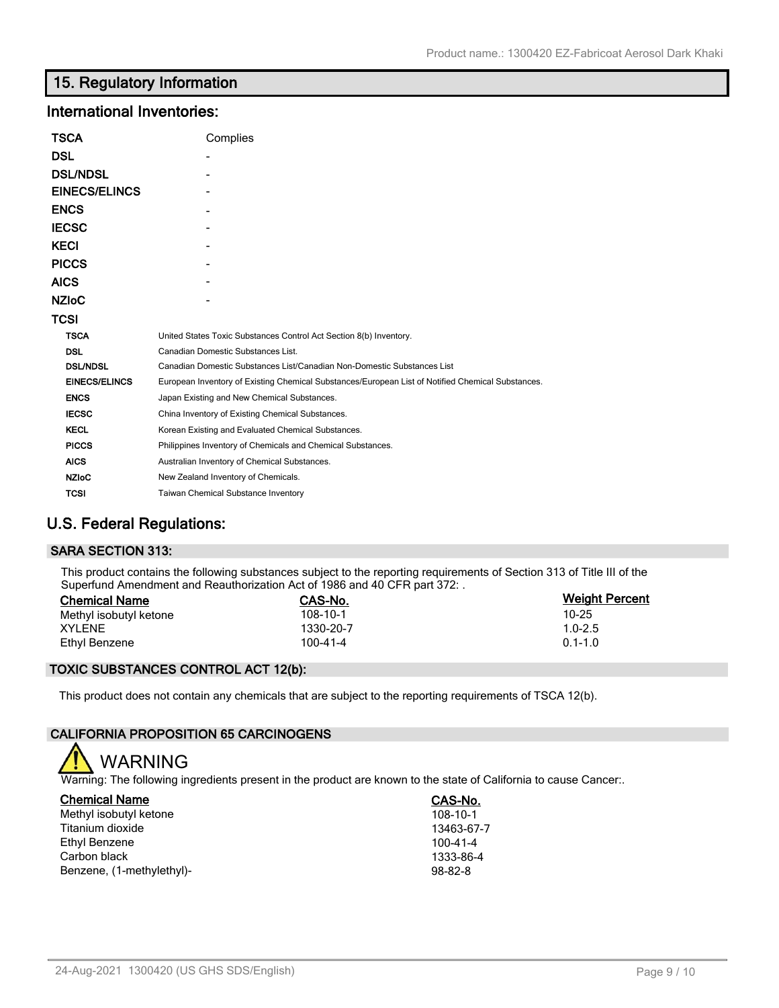# **15. Regulatory Information**

## **International Inventories:**

| TSCA                 | Complies                                                                                          |
|----------------------|---------------------------------------------------------------------------------------------------|
| DSL                  |                                                                                                   |
| <b>DSL/NDSL</b>      |                                                                                                   |
| <b>EINECS/ELINCS</b> |                                                                                                   |
| <b>ENCS</b>          |                                                                                                   |
| <b>IECSC</b>         |                                                                                                   |
| KECI                 |                                                                                                   |
| <b>PICCS</b>         |                                                                                                   |
| AICS                 |                                                                                                   |
| <b>NZIoC</b>         |                                                                                                   |
| TCSI                 |                                                                                                   |
| <b>TSCA</b>          | United States Toxic Substances Control Act Section 8(b) Inventory.                                |
| <b>DSL</b>           | Canadian Domestic Substances List.                                                                |
| <b>DSL/NDSL</b>      | Canadian Domestic Substances List/Canadian Non-Domestic Substances List                           |
| <b>EINECS/ELINCS</b> | European Inventory of Existing Chemical Substances/European List of Notified Chemical Substances. |
| <b>ENCS</b>          | Japan Existing and New Chemical Substances.                                                       |
| <b>IECSC</b>         | China Inventory of Existing Chemical Substances.                                                  |
| <b>KECL</b>          | Korean Existing and Evaluated Chemical Substances.                                                |
| <b>PICCS</b>         | Philippines Inventory of Chemicals and Chemical Substances.                                       |
| <b>AICS</b>          | Australian Inventory of Chemical Substances.                                                      |
| <b>NZIoC</b>         | New Zealand Inventory of Chemicals.                                                               |
| <b>TCSI</b>          | <b>Taiwan Chemical Substance Inventory</b>                                                        |

# **U.S. Federal Regulations:**

## **SARA SECTION 313:**

This product contains the following substances subject to the reporting requirements of Section 313 of Title III of the Superfund Amendment and Reauthorization Act of 1986 and 40 CFR part 372: .

| <b>Chemical Name</b>   | CAS-No.   | <b>Weight Percent</b> |
|------------------------|-----------|-----------------------|
| Methyl isobutyl ketone | 108-10-1  | 10-25                 |
| <b>XYLENE</b>          | 1330-20-7 | $1.0 - 2.5$           |
| Ethyl Benzene          | 100-41-4  | $0.1 - 1.0$           |

## **TOXIC SUBSTANCES CONTROL ACT 12(b):**

This product does not contain any chemicals that are subject to the reporting requirements of TSCA 12(b).

#### **CALIFORNIA PROPOSITION 65 CARCINOGENS**

WARNING

Warning: The following ingredients present in the product are known to the state of California to cause Cancer:.

| <b>Chemical Name</b>      | CAS-No.        |
|---------------------------|----------------|
| Methyl isobutyl ketone    | 108-10-1       |
| Titanium dioxide          | 13463-67-7     |
| Ethyl Benzene             | $100 - 41 - 4$ |
| Carbon black              | 1333-86-4      |
| Benzene, (1-methylethyl)- | $98 - 82 - 8$  |